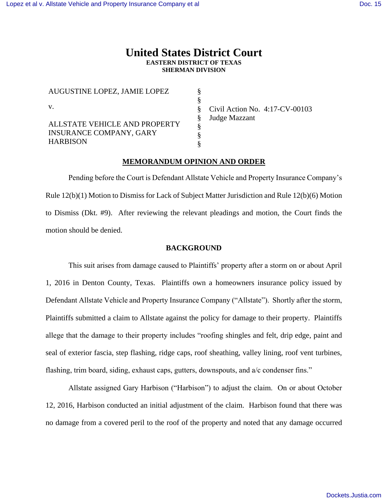# **United States District Court EASTERN DISTRICT OF TEXAS SHERMAN DIVISION**

| AUGUSTINE LOPEZ, JAMIE LOPEZ   |                      |
|--------------------------------|----------------------|
|                                |                      |
| V.                             | Civil Action No. 4:1 |
|                                | Judge Mazzant        |
| ALLSTATE VEHICLE AND PROPERTY  |                      |
| <b>INSURANCE COMPANY, GARY</b> |                      |
| <b>HARBISON</b>                |                      |

7-CV-00103

## **MEMORANDUM OPINION AND ORDER**

Pending before the Court is Defendant Allstate Vehicle and Property Insurance Company's Rule 12(b)(1) Motion to Dismiss for Lack of Subject Matter Jurisdiction and Rule 12(b)(6) Motion to Dismiss (Dkt. #9). After reviewing the relevant pleadings and motion, the Court finds the motion should be denied.

### **BACKGROUND**

This suit arises from damage caused to Plaintiffs' property after a storm on or about April 1, 2016 in Denton County, Texas. Plaintiffs own a homeowners insurance policy issued by Defendant Allstate Vehicle and Property Insurance Company ("Allstate"). Shortly after the storm, Plaintiffs submitted a claim to Allstate against the policy for damage to their property. Plaintiffs allege that the damage to their property includes "roofing shingles and felt, drip edge, paint and seal of exterior fascia, step flashing, ridge caps, roof sheathing, valley lining, roof vent turbines, flashing, trim board, siding, exhaust caps, gutters, downspouts, and a/c condenser fins."

Allstate assigned Gary Harbison ("Harbison") to adjust the claim. On or about October 12, 2016, Harbison conducted an initial adjustment of the claim. Harbison found that there was no damage from a covered peril to the roof of the property and noted that any damage occurred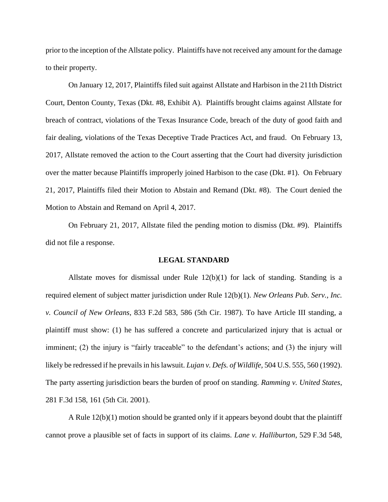prior to the inception of the Allstate policy. Plaintiffs have not received any amount for the damage to their property.

On January 12, 2017, Plaintiffs filed suit against Allstate and Harbison in the 211th District Court, Denton County, Texas (Dkt. #8, Exhibit A). Plaintiffs brought claims against Allstate for breach of contract, violations of the Texas Insurance Code, breach of the duty of good faith and fair dealing, violations of the Texas Deceptive Trade Practices Act, and fraud. On February 13, 2017, Allstate removed the action to the Court asserting that the Court had diversity jurisdiction over the matter because Plaintiffs improperly joined Harbison to the case (Dkt. #1). On February 21, 2017, Plaintiffs filed their Motion to Abstain and Remand (Dkt. #8). The Court denied the Motion to Abstain and Remand on April 4, 2017.

On February 21, 2017, Allstate filed the pending motion to dismiss (Dkt. #9). Plaintiffs did not file a response.

#### **LEGAL STANDARD**

Allstate moves for dismissal under Rule  $12(b)(1)$  for lack of standing. Standing is a required element of subject matter jurisdiction under Rule 12(b)(1). *New Orleans Pub. Serv., Inc. v. Council of New Orleans*, 833 F.2d 583, 586 (5th Cir. 1987). To have Article III standing, a plaintiff must show: (1) he has suffered a concrete and particularized injury that is actual or imminent; (2) the injury is "fairly traceable" to the defendant's actions; and (3) the injury will likely be redressed if he prevails in his lawsuit. *Lujan v. Defs. of Wildlife,* 504 U.S. 555, 560 (1992). The party asserting jurisdiction bears the burden of proof on standing. *Ramming v. United States*, 281 F.3d 158, 161 (5th Cit. 2001).

A Rule 12(b)(1) motion should be granted only if it appears beyond doubt that the plaintiff cannot prove a plausible set of facts in support of its claims. *Lane v. Halliburton*, 529 F.3d 548,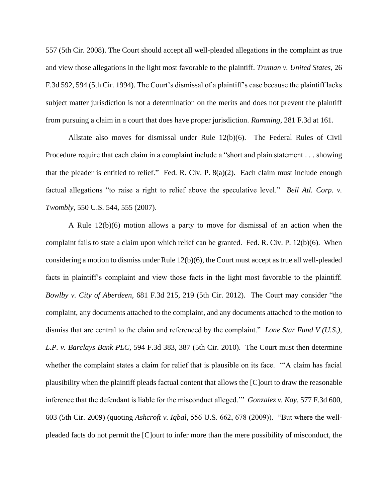557 (5th Cir. 2008). The Court should accept all well-pleaded allegations in the complaint as true and view those allegations in the light most favorable to the plaintiff. *Truman v. United States*, 26 F.3d 592, 594 (5th Cir. 1994). The Court's dismissal of a plaintiff's case because the plaintiff lacks subject matter jurisdiction is not a determination on the merits and does not prevent the plaintiff from pursuing a claim in a court that does have proper jurisdiction. *Ramming*, 281 F.3d at 161.

Allstate also moves for dismissal under Rule 12(b)(6). The Federal Rules of Civil Procedure require that each claim in a complaint include a "short and plain statement . . . showing that the pleader is entitled to relief." Fed. R. Civ. P. 8(a)(2). Each claim must include enough factual allegations "to raise a right to relief above the speculative level." *Bell Atl. Corp. v. Twombly*, 550 U.S. 544, 555 (2007).

A Rule 12(b)(6) motion allows a party to move for dismissal of an action when the complaint fails to state a claim upon which relief can be granted. Fed. R. Civ. P. 12(b)(6). When considering a motion to dismiss under Rule 12(b)(6), the Court must accept as true all well-pleaded facts in plaintiff's complaint and view those facts in the light most favorable to the plaintiff. *Bowlby v. City of Aberdeen*, 681 F.3d 215, 219 (5th Cir. 2012). The Court may consider "the complaint, any documents attached to the complaint, and any documents attached to the motion to dismiss that are central to the claim and referenced by the complaint." *Lone Star Fund V (U.S.), L.P. v. Barclays Bank PLC*, 594 F.3d 383, 387 (5th Cir. 2010). The Court must then determine whether the complaint states a claim for relief that is plausible on its face. '"A claim has facial plausibility when the plaintiff pleads factual content that allows the [C]ourt to draw the reasonable inference that the defendant is liable for the misconduct alleged.'" *Gonzalez v. Kay*, 577 F.3d 600, 603 (5th Cir. 2009) (quoting *Ashcroft v. Iqbal*, 556 U.S. 662, 678 (2009)). "But where the wellpleaded facts do not permit the [C]ourt to infer more than the mere possibility of misconduct, the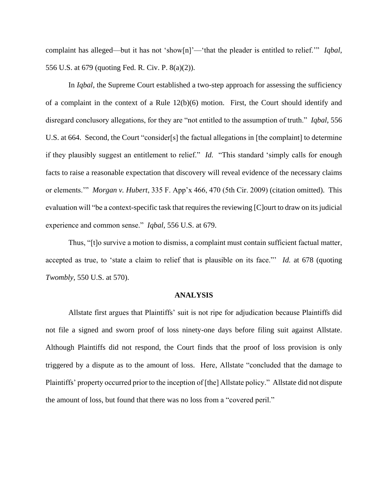complaint has alleged—but it has not 'show[n]'—'that the pleader is entitled to relief.'" *Iqbal*, 556 U.S. at 679 (quoting Fed. R. Civ. P. 8(a)(2)).

In *Iqbal*, the Supreme Court established a two-step approach for assessing the sufficiency of a complaint in the context of a Rule 12(b)(6) motion. First, the Court should identify and disregard conclusory allegations, for they are "not entitled to the assumption of truth." *Iqbal*, 556 U.S. at 664. Second, the Court "consider[s] the factual allegations in [the complaint] to determine if they plausibly suggest an entitlement to relief." *Id.* "This standard 'simply calls for enough facts to raise a reasonable expectation that discovery will reveal evidence of the necessary claims or elements.'" *Morgan v. Hubert*, 335 F. App'x 466, 470 (5th Cir. 2009) (citation omitted). This evaluation will "be a context-specific task that requires the reviewing [C]ourt to draw on its judicial experience and common sense." *Iqbal*, 556 U.S. at 679.

Thus, "[t]o survive a motion to dismiss, a complaint must contain sufficient factual matter, accepted as true, to 'state a claim to relief that is plausible on its face."' *Id.* at 678 (quoting *Twombly*, 550 U.S. at 570).

### **ANALYSIS**

Allstate first argues that Plaintiffs' suit is not ripe for adjudication because Plaintiffs did not file a signed and sworn proof of loss ninety-one days before filing suit against Allstate. Although Plaintiffs did not respond, the Court finds that the proof of loss provision is only triggered by a dispute as to the amount of loss. Here, Allstate "concluded that the damage to Plaintiffs' property occurred prior to the inception of [the] Allstate policy." Allstate did not dispute the amount of loss, but found that there was no loss from a "covered peril."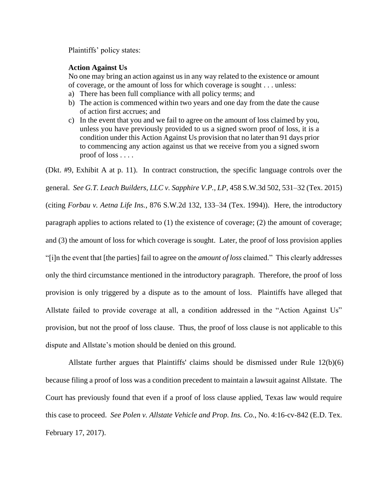Plaintiffs' policy states:

## **Action Against Us**

No one may bring an action against us in any way related to the existence or amount of coverage, or the amount of loss for which coverage is sought . . . unless:

- a) There has been full compliance with all policy terms; and
- b) The action is commenced within two years and one day from the date the cause of action first accrues; and
- c) In the event that you and we fail to agree on the amount of loss claimed by you, unless you have previously provided to us a signed sworn proof of loss, it is a condition under this Action Against Us provision that no later than 91 days prior to commencing any action against us that we receive from you a signed sworn proof of loss . . . .

(Dkt. #9, Exhibit A at p. 11). In contract construction, the specific language controls over the general. *See G.T. Leach Builders, LLC v. Sapphire V.P., LP*, 458 S.W.3d 502, 531–32 (Tex. 2015) (citing *Forbau v. Aetna Life Ins.*, 876 S.W.2d 132, 133–34 (Tex. 1994)). Here, the introductory paragraph applies to actions related to (1) the existence of coverage; (2) the amount of coverage; and (3) the amount of loss for which coverage is sought. Later, the proof of loss provision applies "[i]n the event that [the parties] fail to agree on the *amount of loss* claimed." This clearly addresses only the third circumstance mentioned in the introductory paragraph. Therefore, the proof of loss provision is only triggered by a dispute as to the amount of loss. Plaintiffs have alleged that Allstate failed to provide coverage at all, a condition addressed in the "Action Against Us" provision, but not the proof of loss clause. Thus, the proof of loss clause is not applicable to this dispute and Allstate's motion should be denied on this ground.

Allstate further argues that Plaintiffs' claims should be dismissed under Rule 12(b)(6) because filing a proof of loss was a condition precedent to maintain a lawsuit against Allstate. The Court has previously found that even if a proof of loss clause applied, Texas law would require this case to proceed. *See Polen v. Allstate Vehicle and Prop. Ins. Co.*, No. 4:16-cv-842 (E.D. Tex. February 17, 2017).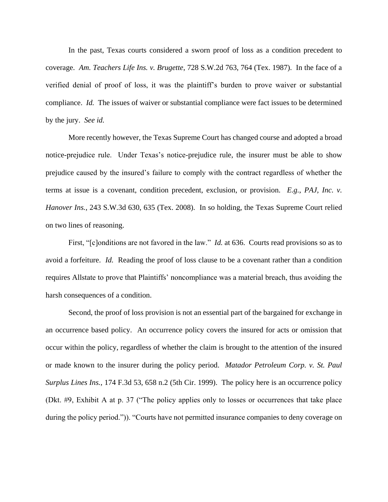In the past, Texas courts considered a sworn proof of loss as a condition precedent to coverage. *Am. Teachers Life Ins. v. Brugette*, 728 S.W.2d 763, 764 (Tex. 1987). In the face of a verified denial of proof of loss, it was the plaintiff's burden to prove waiver or substantial compliance. *Id.* The issues of waiver or substantial compliance were fact issues to be determined by the jury. *See id.*

More recently however, the Texas Supreme Court has changed course and adopted a broad notice-prejudice rule. Under Texas's notice-prejudice rule, the insurer must be able to show prejudice caused by the insured's failure to comply with the contract regardless of whether the terms at issue is a covenant, condition precedent, exclusion, or provision. *E.g.*, *PAJ, Inc. v. Hanover Ins.*, 243 S.W.3d 630, 635 (Tex. 2008). In so holding, the Texas Supreme Court relied on two lines of reasoning.

First, "[c]onditions are not favored in the law." *Id.* at 636. Courts read provisions so as to avoid a forfeiture. *Id.* Reading the proof of loss clause to be a covenant rather than a condition requires Allstate to prove that Plaintiffs' noncompliance was a material breach, thus avoiding the harsh consequences of a condition.

Second, the proof of loss provision is not an essential part of the bargained for exchange in an occurrence based policy. An occurrence policy covers the insured for acts or omission that occur within the policy, regardless of whether the claim is brought to the attention of the insured or made known to the insurer during the policy period. *Matador Petroleum Corp. v. St. Paul Surplus Lines Ins.*, 174 F.3d 53, 658 n.2 (5th Cir. 1999). The policy here is an occurrence policy (Dkt. #9, Exhibit A at p. 37 ("The policy applies only to losses or occurrences that take place during the policy period.")). "Courts have not permitted insurance companies to deny coverage on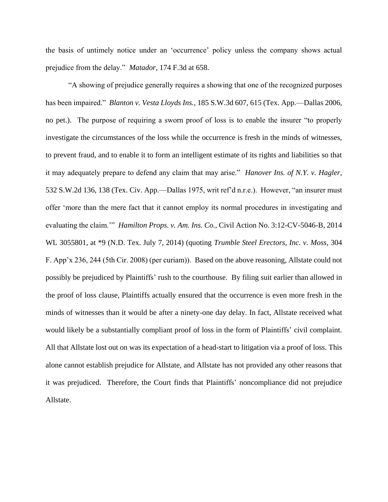the basis of untimely notice under an 'occurrence' policy unless the company shows actual prejudice from the delay." *Matador*, 174 F.3d at 658.

"A showing of prejudice generally requires a showing that one of the recognized purposes has been impaired." *Blanton v. Vesta Lloyds Ins.*, 185 S.W.3d 607, 615 (Tex. App.—Dallas 2006, no pet.). The purpose of requiring a sworn proof of loss is to enable the insurer "to properly investigate the circumstances of the loss while the occurrence is fresh in the minds of witnesses, to prevent fraud, and to enable it to form an intelligent estimate of its rights and liabilities so that it may adequately prepare to defend any claim that may arise." *Hanover Ins. of N.Y. v. Hagler*, 532 S.W.2d 136, 138 (Tex. Civ. App.—Dallas 1975, writ ref'd n.r.e.). However, "an insurer must offer 'more than the mere fact that it cannot employ its normal procedures in investigating and evaluating the claim.'" *Hamilton Props. v. Am. Ins. Co.*, Civil Action No. 3:12-CV-5046-B, 2014 WL 3055801, at \*9 (N.D. Tex. July 7, 2014) (quoting *Trumble Steel Erectors, Inc. v. Moss*, 304 F. App'x 236, 244 (5th Cir. 2008) (per curiam)). Based on the above reasoning, Allstate could not possibly be prejudiced by Plaintiffs' rush to the courthouse. By filing suit earlier than allowed in the proof of loss clause, Plaintiffs actually ensured that the occurrence is even more fresh in the minds of witnesses than it would be after a ninety-one day delay. In fact, Allstate received what would likely be a substantially compliant proof of loss in the form of Plaintiffs' civil complaint. All that Allstate lost out on was its expectation of a head-start to litigation via a proof of loss. This alone cannot establish prejudice for Allstate, and Allstate has not provided any other reasons that it was prejudiced. Therefore, the Court finds that Plaintiffs' noncompliance did not prejudice Allstate.